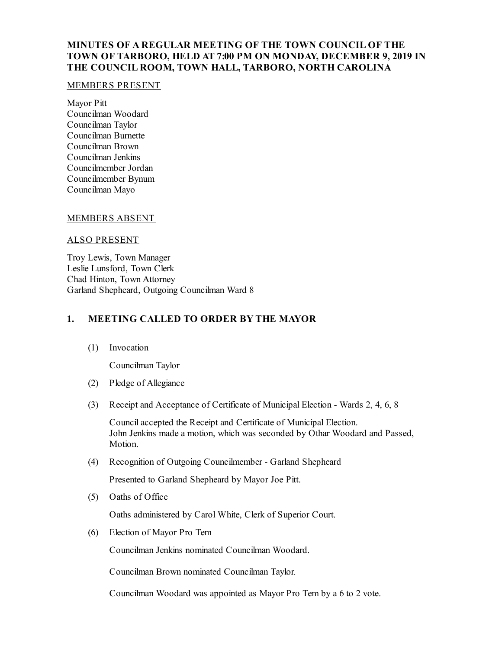# **MINUTES OF A REGULAR MEETING OF THE TOWN COUNCIL OF THE TOWN OF TARBORO, HELD AT 7:00 PM ON MONDAY, DECEMBER 9, 2019 IN THE COUNCIL ROOM, TOWN HALL, TARBORO, NORTH CAROLINA**

#### MEMBERS PRESENT

Mayor Pitt Councilman Woodard Councilman Taylor Councilman Burnette Councilman Brown Councilman Jenkins Councilmember Jordan Councilmember Bynum Councilman Mayo

#### MEMBERS ABSENT

#### ALSO PRESENT

Troy Lewis, Town Manager Leslie Lunsford, Town Clerk Chad Hinton, Town Attorney Garland Shepheard, Outgoing Councilman Ward 8

### **1. MEETING CALLED TO ORDER BY THE MAYOR**

(1) Invocation

Councilman Taylor

- (2) Pledge of Allegiance
- (3) Receipt and Acceptance of Certificate of Municipal Election Wards 2, 4, 6, 8

Councilaccepted the Receipt and Certificate of Municipal Election. John Jenkins made a motion, which was seconded by Othar Woodard and Passed, Motion.

(4) Recognition of Outgoing Councilmember - Garland Shepheard

Presented to Garland Shepheard by Mayor Joe Pitt.

(5) Oaths of Office

Oaths administered by Carol White, Clerk of Superior Court.

(6) Election of Mayor Pro Tem

Councilman Jenkins nominated Councilman Woodard.

Councilman Brown nominated Councilman Taylor.

Councilman Woodard was appointed as Mayor Pro Tem by a 6 to 2 vote.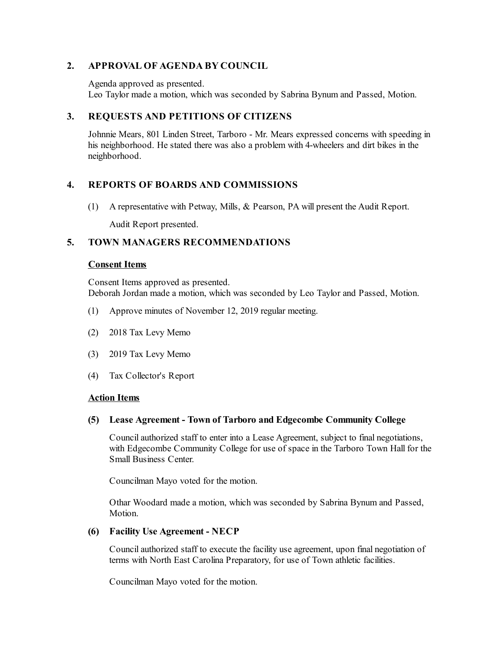# **2. APPROVAL OF AGENDA BY COUNCIL**

Agenda approved as presented.

Leo Taylor made a motion, which was seconded by Sabrina Bynum and Passed, Motion.

# **3. REQUESTS AND PETITIONS OF CITIZENS**

Johnnie Mears, 801 Linden Street, Tarboro - Mr. Mears expressed concerns with speeding in his neighborhood. He stated there was also a problem with 4-wheelers and dirt bikes in the neighborhood.

# **4. REPORTS OF BOARDS AND COMMISSIONS**

(1) A representative with Petway, Mills, & Pearson, PA will present the Audit Report.

Audit Report presented.

### **5. TOWN MANAGERS RECOMMENDATIONS**

#### **Consent Items**

Consent Items approved as presented. Deborah Jordan made a motion, which was seconded by Leo Taylor and Passed, Motion.

- (1) Approve minutes of November 12, 2019 regular meeting.
- (2) 2018 Tax Levy Memo
- (3) 2019 Tax Levy Memo
- (4) Tax Collector's Report

#### **Action Items**

#### **(5) Lease Agreement - Town of Tarboro and Edgecombe Community College**

Councilauthorized staff to enter into a Lease Agreement, subject to final negotiations, with Edgecombe Community College for use of space in the Tarboro Town Hall for the Small Business Center.

Councilman Mayo voted for the motion.

Othar Woodard made a motion, which was seconded by Sabrina Bynum and Passed, Motion.

#### **(6) Facility Use Agreement - NECP**

Councilauthorized staff to execute the facility use agreement, upon final negotiation of terms with North East Carolina Preparatory, for use of Town athletic facilities.

Councilman Mayo voted for the motion.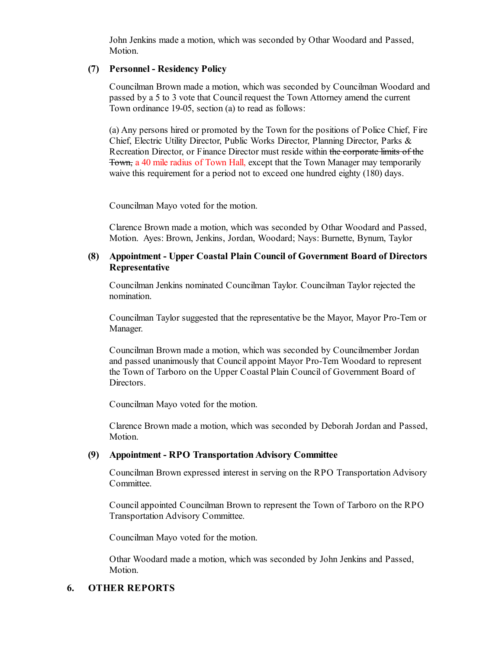John Jenkins made a motion, which was seconded by Othar Woodard and Passed, Motion.

### **(7) Personnel - Residency Policy**

Councilman Brown made a motion, which was seconded by Councilman Woodard and passed by a 5 to 3 vote that Council request the Town Attorney amend the current Town ordinance 19-05, section (a) to read as follows:

(a) Any persons hired or promoted by the Town for the positions of Police Chief, Fire Chief, Electric Utility Director, Public Works Director, Planning Director, Parks & Recreation Director, or Finance Director must reside within the corporate limits of the Town, a 40 mile radius of Town Hall, except that the Town Manager may temporarily waive this requirement for a period not to exceed one hundred eighty (180) days.

Councilman Mayo voted for the motion.

Clarence Brown made a motion, which was seconded by Othar Woodard and Passed, Motion. Ayes: Brown, Jenkins, Jordan, Woodard; Nays: Burnette, Bynum, Taylor

### **(8) Appointment - Upper Coastal Plain Council of Government Board of Directors Representative**

Councilman Jenkins nominated Councilman Taylor. Councilman Taylor rejected the nomination.

Councilman Taylor suggested that the representative be the Mayor, Mayor Pro-Tem or Manager.

Councilman Brown made a motion, which was seconded by Councilmember Jordan and passed unanimously that Councilappoint Mayor Pro-Tem Woodard to represent the Town of Tarboro on the Upper Coastal Plain Council of Government Board of Directors.

Councilman Mayo voted for the motion.

Clarence Brown made a motion, which was seconded by Deborah Jordan and Passed, Motion.

#### **(9) Appointment - RPO TransportationAdvisory Committee**

Councilman Brown expressed interest in serving on the RPO Transportation Advisory Committee.

Councilappointed Councilman Brown to represent the Town of Tarboro on the RPO Transportation Advisory Committee.

Councilman Mayo voted for the motion.

Othar Woodard made a motion, which was seconded by John Jenkins and Passed, Motion.

### **6. OTHER REPORTS**